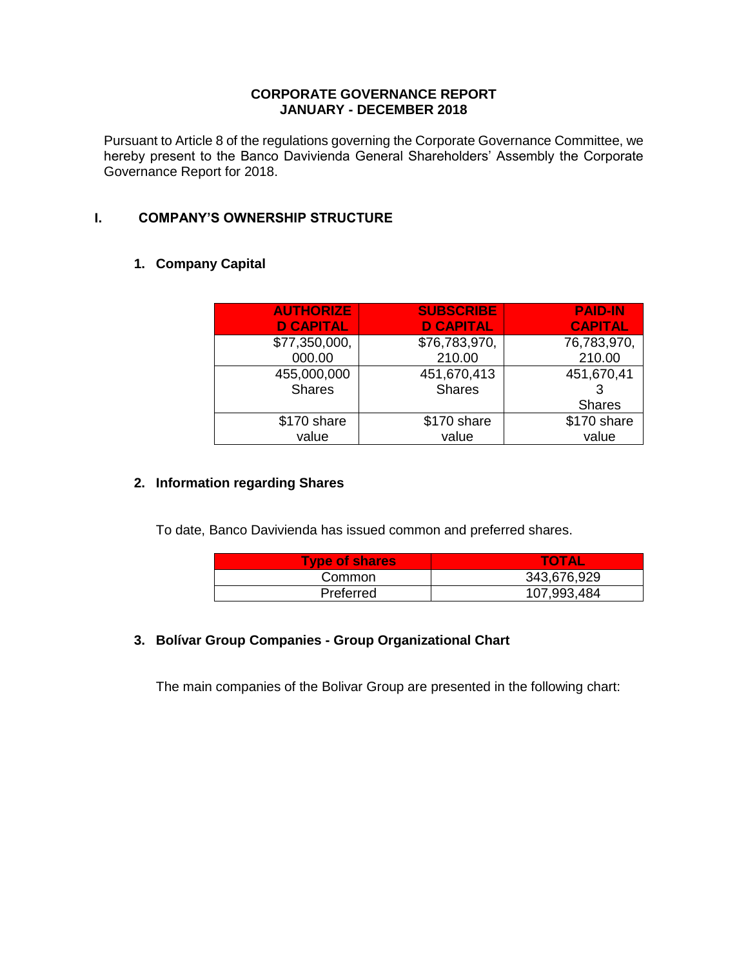## **CORPORATE GOVERNANCE REPORT JANUARY - DECEMBER 2018**

Pursuant to Article 8 of the regulations governing the Corporate Governance Committee, we hereby present to the Banco Davivienda General Shareholders' Assembly the Corporate Governance Report for 2018.

# **I. COMPANY'S OWNERSHIP STRUCTURE**

# **1. Company Capital**

| <b>AUTHORIZE</b><br><b>D CAPITAL</b> | <b>SUBSCRIBE</b><br><b>D CAPITAL</b> | <b>PAID-IN</b><br><b>CAPITAL</b> |
|--------------------------------------|--------------------------------------|----------------------------------|
| \$77,350,000,                        | \$76,783,970,                        | 76,783,970,                      |
| 000.00                               | 210.00                               | 210.00                           |
| 455,000,000                          | 451,670,413                          | 451,670,41                       |
| <b>Shares</b>                        | <b>Shares</b>                        |                                  |
|                                      |                                      | <b>Shares</b>                    |
| \$170 share                          | \$170 share                          | \$170 share                      |
| value                                | value                                | value                            |

## **2. Information regarding Shares**

To date, Banco Davivienda has issued common and preferred shares.

| <b>Type of shares</b> | <b>TOTAL</b> |
|-----------------------|--------------|
| Common                | 343,676,929  |
| Preferred             | 107,993,484  |

# **3. Bolívar Group Companies - Group Organizational Chart**

The main companies of the Bolivar Group are presented in the following chart: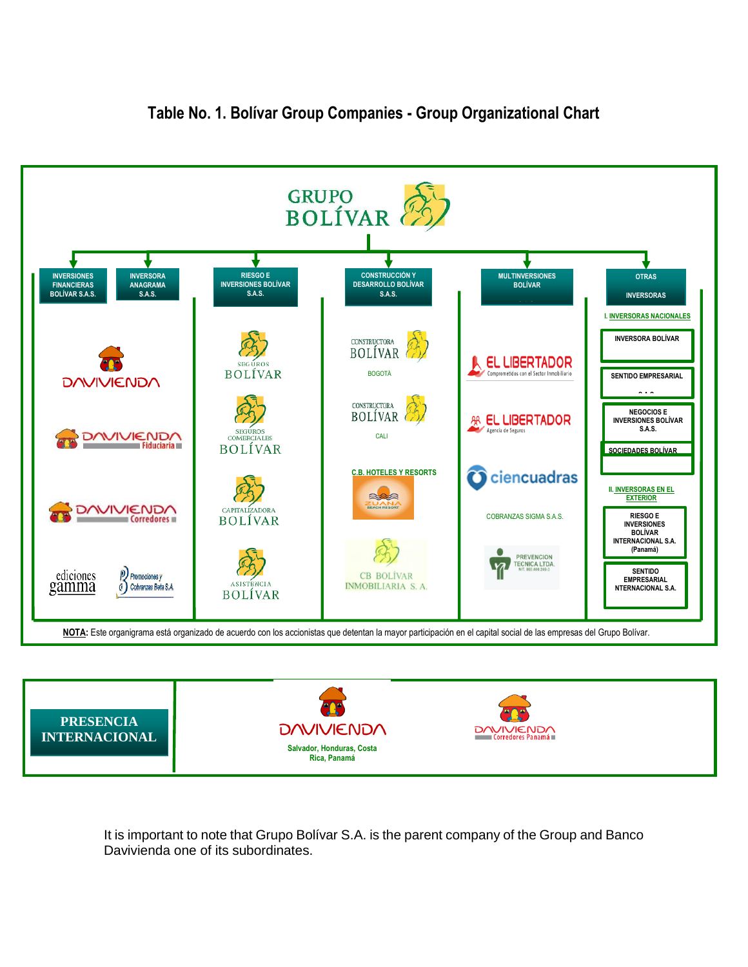

# **Table No. 1. Bolívar Group Companies - Group Organizational Chart**



It is important to note that Grupo Bolívar S.A. is the parent company of the Group and Banco Davivienda one of its subordinates.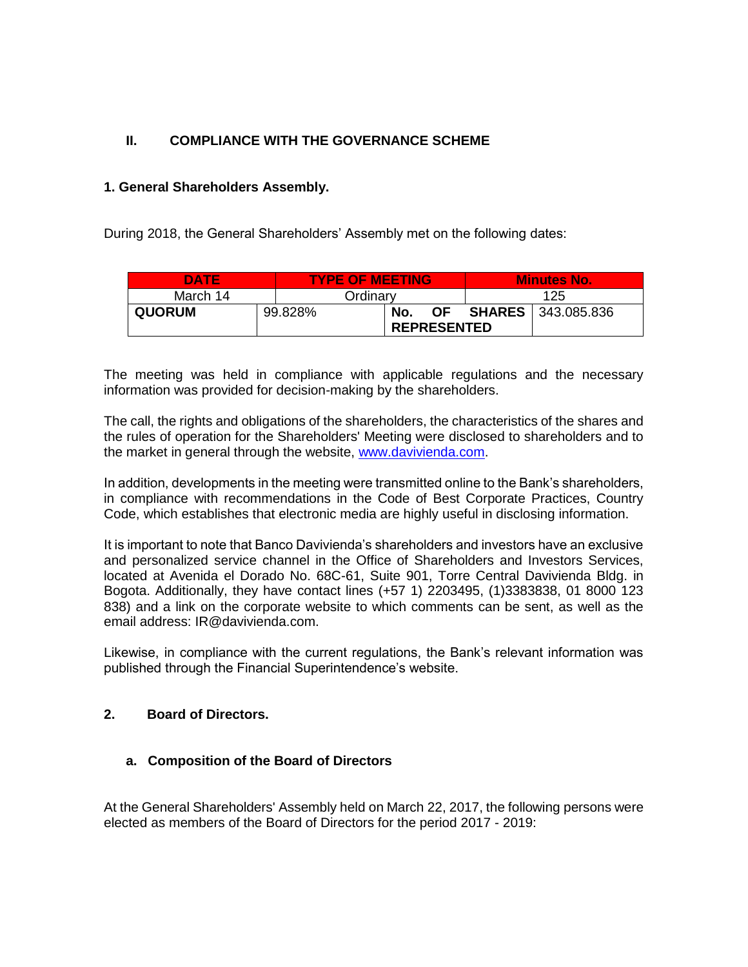# **II. COMPLIANCE WITH THE GOVERNANCE SCHEME**

# **1. General Shareholders Assembly.**

During 2018, the General Shareholders' Assembly met on the following dates:

| <b>DATE</b>   |  | <b>TYPE OF MEETING</b> |     |                    |  | <b>Minutes No.</b>        |
|---------------|--|------------------------|-----|--------------------|--|---------------------------|
| March 14      |  | Ordinary               |     | 125                |  |                           |
| <b>QUORUM</b> |  | 99.828%                | No. | <b>OF</b>          |  | <b>SHARES</b> 343.085.836 |
|               |  |                        |     | <b>REPRESENTED</b> |  |                           |

The meeting was held in compliance with applicable regulations and the necessary information was provided for decision-making by the shareholders.

The call, the rights and obligations of the shareholders, the characteristics of the shares and the rules of operation for the Shareholders' Meeting were disclosed to shareholders and to the market in general through the website, [www.davivienda.com.](http://www.davivienda.com/)

In addition, developments in the meeting were transmitted online to the Bank's shareholders, in compliance with recommendations in the Code of Best Corporate Practices, Country Code, which establishes that electronic media are highly useful in disclosing information.

It is important to note that Banco Davivienda's shareholders and investors have an exclusive and personalized service channel in the Office of Shareholders and Investors Services, located at Avenida el Dorado No. 68C-61, Suite 901, Torre Central Davivienda Bldg. in Bogota. Additionally, they have contact lines (+57 1) 2203495, (1)3383838, 01 8000 123 838) and a link on the corporate website to which comments can be sent, as well as the email address: IR@davivienda.com.

Likewise, in compliance with the current regulations, the Bank's relevant information was published through the Financial Superintendence's website.

# **2. Board of Directors.**

# **a. Composition of the Board of Directors**

At the General Shareholders' Assembly held on March 22, 2017, the following persons were elected as members of the Board of Directors for the period 2017 - 2019: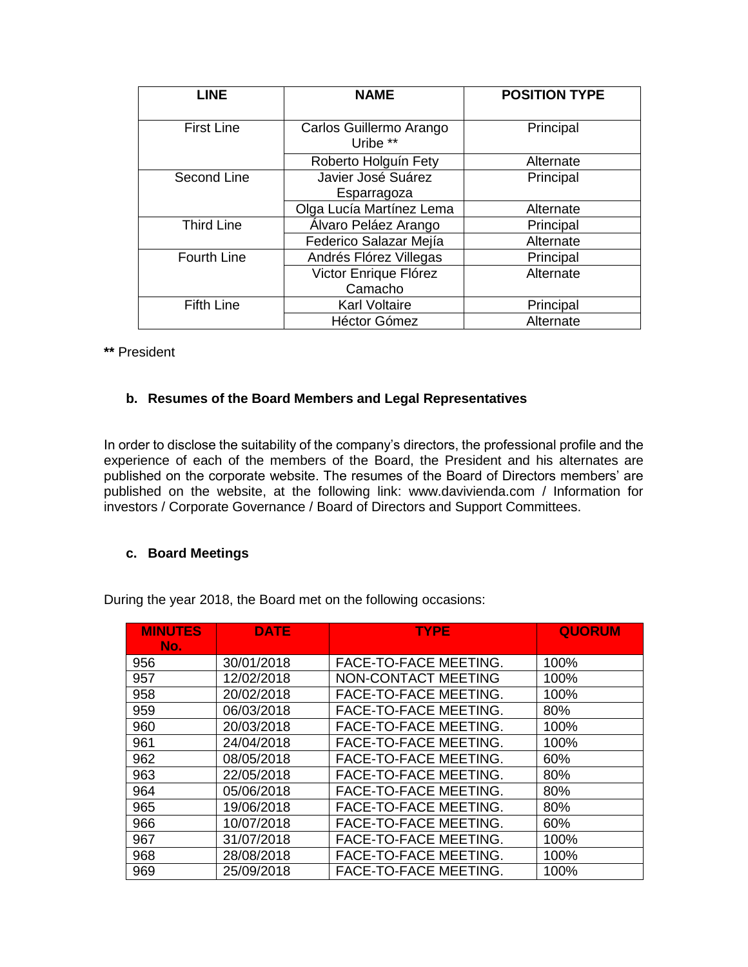| <b>LINE</b>        | <b>NAME</b>                         | <b>POSITION TYPE</b> |
|--------------------|-------------------------------------|----------------------|
| <b>First Line</b>  | Carlos Guillermo Arango<br>Uribe ** | Principal            |
|                    | Roberto Holguín Fety                | Alternate            |
| Second Line        | Javier José Suárez<br>Esparragoza   | Principal            |
|                    | Olga Lucía Martínez Lema            | Alternate            |
| <b>Third Line</b>  | Álvaro Peláez Arango                | Principal            |
|                    | Federico Salazar Mejía              | Alternate            |
| <b>Fourth Line</b> | Andrés Flórez Villegas              | Principal            |
|                    | Victor Enrique Flórez<br>Camacho    | Alternate            |
| <b>Fifth Line</b>  | <b>Karl Voltaire</b>                | Principal            |
|                    | <b>Héctor Gómez</b>                 | Alternate            |

**\*\*** President

# **b. Resumes of the Board Members and Legal Representatives**

In order to disclose the suitability of the company's directors, the professional profile and the experience of each of the members of the Board, the President and his alternates are published on the corporate website. The resumes of the Board of Directors members' are published on the website, at the following link: www.davivienda.com / Information for investors / Corporate Governance / Board of Directors and Support Committees.

# **c. Board Meetings**

During the year 2018, the Board met on the following occasions:

| <b>MINUTES</b><br>No. | <b>DATE</b> | <b>TYPE</b>           | <b>QUORUM</b> |
|-----------------------|-------------|-----------------------|---------------|
| 956                   | 30/01/2018  | FACE-TO-FACE MEETING. | 100%          |
| 957                   | 12/02/2018  | NON-CONTACT MEETING   | 100%          |
| 958                   | 20/02/2018  | FACE-TO-FACE MEETING. | 100%          |
| 959                   | 06/03/2018  | FACE-TO-FACE MEETING. | 80%           |
| 960                   | 20/03/2018  | FACE-TO-FACE MEETING. | 100%          |
| 961                   | 24/04/2018  | FACE-TO-FACE MEETING. | 100%          |
| 962                   | 08/05/2018  | FACE-TO-FACE MEETING. | 60%           |
| 963                   | 22/05/2018  | FACE-TO-FACE MEETING. | 80%           |
| 964                   | 05/06/2018  | FACE-TO-FACE MEETING. | 80%           |
| 965                   | 19/06/2018  | FACE-TO-FACE MEETING. | 80%           |
| 966                   | 10/07/2018  | FACE-TO-FACE MEETING. | 60%           |
| 967                   | 31/07/2018  | FACE-TO-FACE MEETING. | 100%          |
| 968                   | 28/08/2018  | FACE-TO-FACE MEETING. | 100%          |
| 969                   | 25/09/2018  | FACE-TO-FACE MEETING. | 100%          |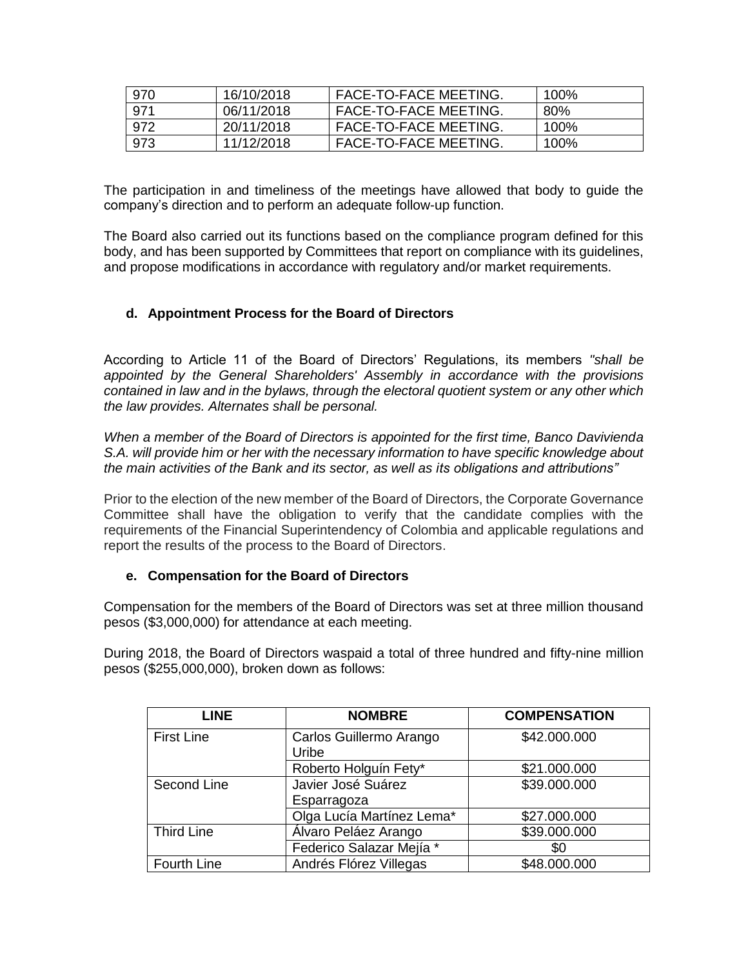| 970 | 16/10/2018 | <b>FACE-TO-FACE MEETING.</b> | 100% |
|-----|------------|------------------------------|------|
| 971 | 06/11/2018 | <b>FACE-TO-FACE MEETING.</b> | 80%  |
| 972 | 20/11/2018 | <b>FACE-TO-FACE MEETING.</b> | 100% |
| 973 | 11/12/2018 | <b>FACE-TO-FACE MEETING.</b> | 100% |

The participation in and timeliness of the meetings have allowed that body to guide the company's direction and to perform an adequate follow-up function.

The Board also carried out its functions based on the compliance program defined for this body, and has been supported by Committees that report on compliance with its guidelines, and propose modifications in accordance with regulatory and/or market requirements.

# **d. Appointment Process for the Board of Directors**

According to Article 11 of the Board of Directors' Regulations, its members *"shall be appointed by the General Shareholders' Assembly in accordance with the provisions contained in law and in the bylaws, through the electoral quotient system or any other which the law provides. Alternates shall be personal.*

*When a member of the Board of Directors is appointed for the first time, Banco Davivienda S.A. will provide him or her with the necessary information to have specific knowledge about the main activities of the Bank and its sector, as well as its obligations and attributions"*

Prior to the election of the new member of the Board of Directors, the Corporate Governance Committee shall have the obligation to verify that the candidate complies with the requirements of the Financial Superintendency of Colombia and applicable regulations and report the results of the process to the Board of Directors.

# **e. Compensation for the Board of Directors**

Compensation for the members of the Board of Directors was set at three million thousand pesos (\$3,000,000) for attendance at each meeting.

During 2018, the Board of Directors waspaid a total of three hundred and fifty-nine million pesos (\$255,000,000), broken down as follows:

| <b>LINE</b>       | <b>NOMBRE</b>                     | <b>COMPENSATION</b> |
|-------------------|-----------------------------------|---------------------|
| <b>First Line</b> | Carlos Guillermo Arango<br>Uribe  | \$42.000.000        |
|                   | Roberto Holguín Fety*             | \$21.000.000        |
| Second Line       | Javier José Suárez<br>Esparragoza | \$39.000.000        |
|                   | Olga Lucía Martínez Lema*         | \$27.000.000        |
| <b>Third Line</b> | Álvaro Peláez Arango              | \$39.000.000        |
|                   | Federico Salazar Mejía *          | \$0                 |
| Fourth Line       | Andrés Flórez Villegas            | \$48.000.000        |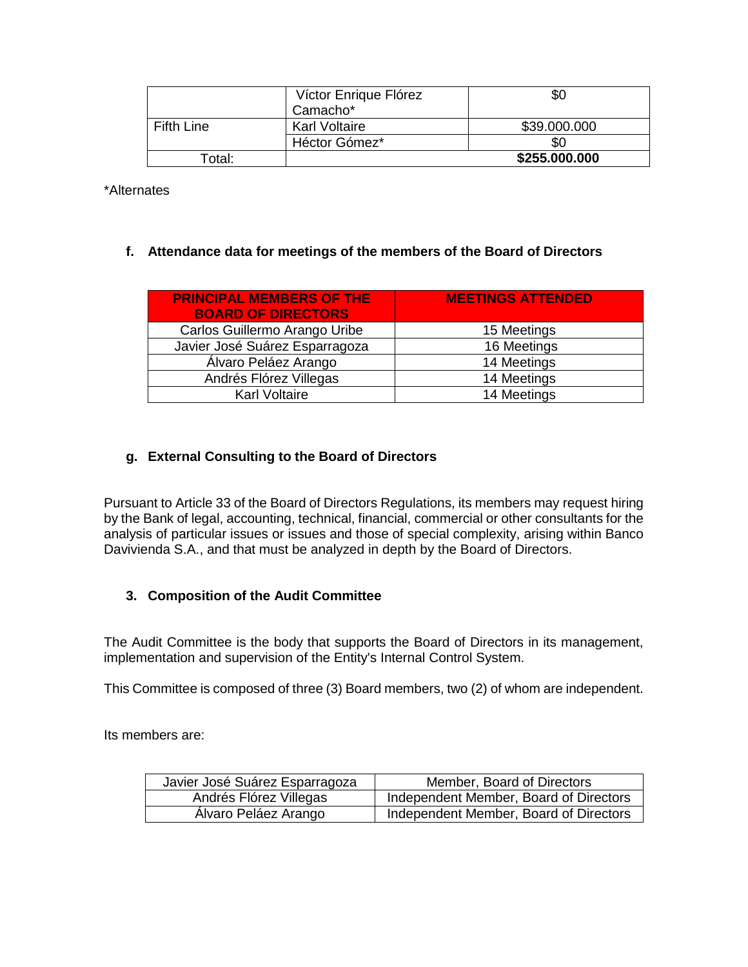|            | Víctor Enrique Flórez<br>Camacho* | æО            |
|------------|-----------------------------------|---------------|
| Fifth Line | <b>Karl Voltaire</b>              | \$39.000.000  |
|            | Héctor Gómez*                     | 80            |
| Total:     |                                   | \$255.000.000 |

\*Alternates

# **f. Attendance data for meetings of the members of the Board of Directors**

| <b>PRINCIPAL MEMBERS OF THE</b><br><b>BOARD OF DIRECTORS</b> | <b>MEETINGS ATTENDED</b> |
|--------------------------------------------------------------|--------------------------|
| Carlos Guillermo Arango Uribe                                | 15 Meetings              |
| Javier José Suárez Esparragoza                               | 16 Meetings              |
| Álvaro Peláez Arango                                         | 14 Meetings              |
| Andrés Flórez Villegas                                       | 14 Meetings              |
| <b>Karl Voltaire</b>                                         | 14 Meetings              |

# **g. External Consulting to the Board of Directors**

Pursuant to Article 33 of the Board of Directors Regulations, its members may request hiring by the Bank of legal, accounting, technical, financial, commercial or other consultants for the analysis of particular issues or issues and those of special complexity, arising within Banco Davivienda S.A., and that must be analyzed in depth by the Board of Directors.

# **3. Composition of the Audit Committee**

The Audit Committee is the body that supports the Board of Directors in its management, implementation and supervision of the Entity's Internal Control System.

This Committee is composed of three (3) Board members, two (2) of whom are independent.

Its members are:

| Javier José Suárez Esparragoza | Member, Board of Directors             |
|--------------------------------|----------------------------------------|
| Andrés Flórez Villegas         | Independent Member, Board of Directors |
| Álvaro Peláez Arango           | Independent Member, Board of Directors |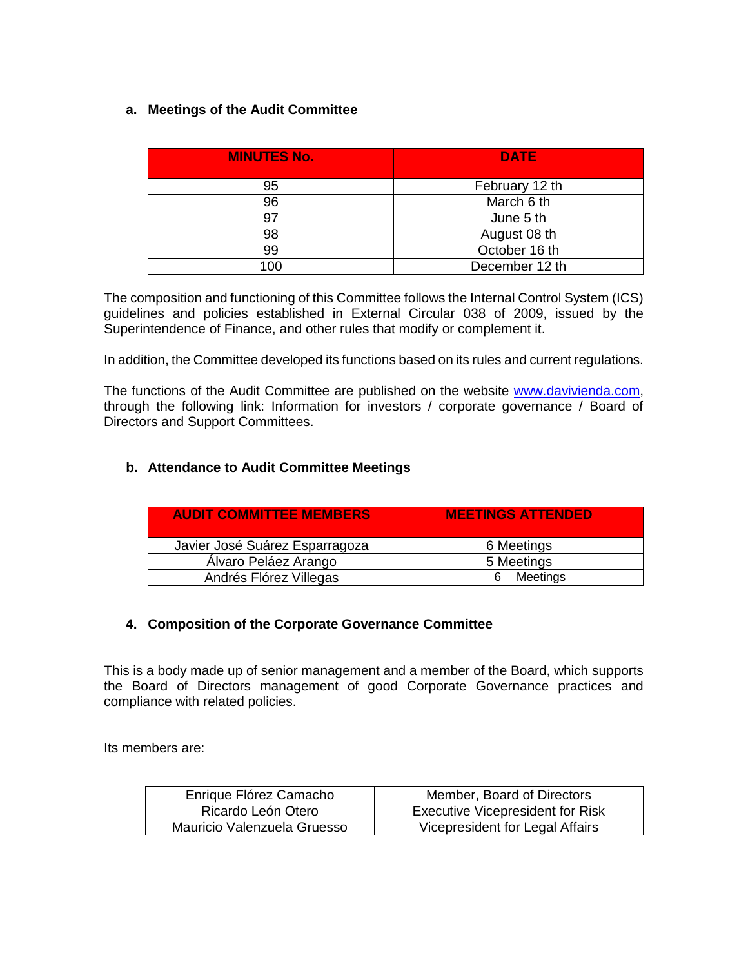# **a. Meetings of the Audit Committee**

| <b>MINUTES No.</b> | <b>DATE</b>    |
|--------------------|----------------|
| 95                 | February 12 th |
| 96                 | March 6 th     |
| 97                 | June 5 th      |
| 98                 | August 08 th   |
| 99                 | October 16 th  |
| 100                | December 12 th |

The composition and functioning of this Committee follows the Internal Control System (ICS) guidelines and policies established in External Circular 038 of 2009, issued by the Superintendence of Finance, and other rules that modify or complement it.

In addition, the Committee developed its functions based on its rules and current regulations.

The functions of the Audit Committee are published on the website [www.davivienda.com,](http://www.davivienda.com/) through the following link: Information for investors / corporate governance / Board of Directors and Support Committees.

# **b. Attendance to Audit Committee Meetings**

| <b>AUDIT COMMITTEE MEMBERS</b> | <b>MEETINGS ATTENDED</b> |
|--------------------------------|--------------------------|
| Javier José Suárez Esparragoza | 6 Meetings               |
| Alvaro Peláez Arango           | 5 Meetings               |
| Andrés Flórez Villegas         | Meetings                 |

# **4. Composition of the Corporate Governance Committee**

This is a body made up of senior management and a member of the Board, which supports the Board of Directors management of good Corporate Governance practices and compliance with related policies.

Its members are:

| Enrique Flórez Camacho      | Member, Board of Directors              |
|-----------------------------|-----------------------------------------|
| Ricardo León Otero          | <b>Executive Vicepresident for Risk</b> |
| Mauricio Valenzuela Gruesso | Vicepresident for Legal Affairs         |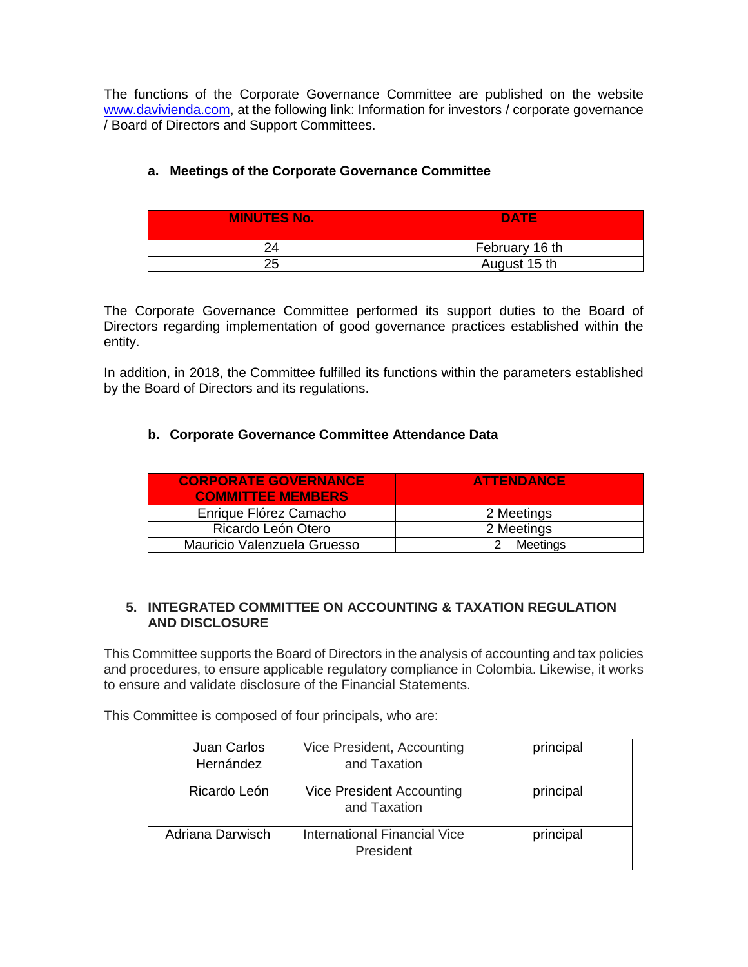The functions of the Corporate Governance Committee are published on the website [www.davivienda.com,](http://www.davivienda.com/) at the following link: Information for investors / corporate governance / Board of Directors and Support Committees.

# **a. Meetings of the Corporate Governance Committee**

| <b>MINUTES No.</b> | <b>DATE</b>    |
|--------------------|----------------|
|                    | February 16 th |
| 25                 | August 15 th   |

The Corporate Governance Committee performed its support duties to the Board of Directors regarding implementation of good governance practices established within the entity.

In addition, in 2018, the Committee fulfilled its functions within the parameters established by the Board of Directors and its regulations.

# **b. Corporate Governance Committee Attendance Data**

| <b>CORPORATE GOVERNANCE</b><br><b>COMMITTEE MEMBERS</b> | <b>ATTENDANCE</b> |
|---------------------------------------------------------|-------------------|
| Enrique Flórez Camacho                                  | 2 Meetings        |
| Ricardo León Otero                                      | 2 Meetings        |
| Mauricio Valenzuela Gruesso                             | Meetings          |

## **5. INTEGRATED COMMITTEE ON ACCOUNTING & TAXATION REGULATION AND DISCLOSURE**

This Committee supports the Board of Directors in the analysis of accounting and tax policies and procedures, to ensure applicable regulatory compliance in Colombia. Likewise, it works to ensure and validate disclosure of the Financial Statements.

This Committee is composed of four principals, who are:

| Juan Carlos<br>Hernández | Vice President, Accounting<br>and Taxation       | principal |
|--------------------------|--------------------------------------------------|-----------|
| Ricardo León             | Vice President Accounting<br>and Taxation        | principal |
| Adriana Darwisch         | <b>International Financial Vice</b><br>President | principal |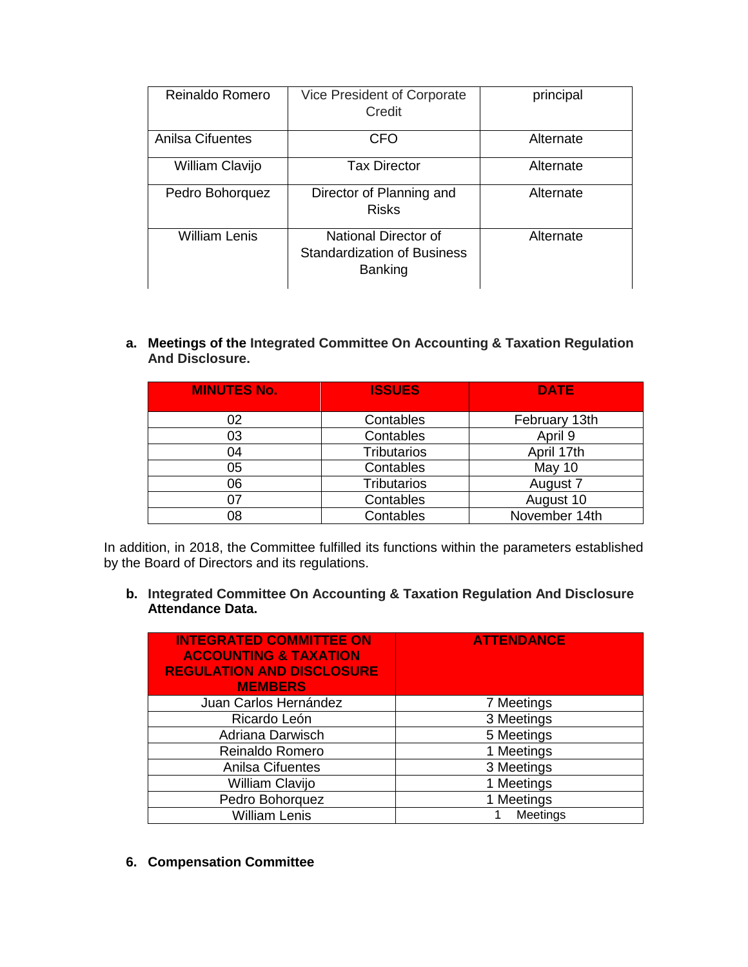| Reinaldo Romero         | Vice President of Corporate<br>Credit                                        | principal |
|-------------------------|------------------------------------------------------------------------------|-----------|
| <b>Anilsa Cifuentes</b> | <b>CFO</b>                                                                   | Alternate |
| William Clavijo         | <b>Tax Director</b>                                                          | Alternate |
| Pedro Bohorquez         | Director of Planning and<br><b>Risks</b>                                     | Alternate |
| <b>William Lenis</b>    | National Director of<br><b>Standardization of Business</b><br><b>Banking</b> | Alternate |

**a. Meetings of the Integrated Committee On Accounting & Taxation Regulation And Disclosure.**

| <b>MINUTES No.</b> | <b>ISSUES</b>      | <b>DATE</b>   |
|--------------------|--------------------|---------------|
| 02                 | Contables          | February 13th |
| 03                 | Contables          | April 9       |
| 04                 | <b>Tributarios</b> | April 17th    |
| 05                 | Contables          | May 10        |
| 06                 | <b>Tributarios</b> | August 7      |
|                    | Contables          | August 10     |
| 08                 | Contables          | November 14th |

In addition, in 2018, the Committee fulfilled its functions within the parameters established by the Board of Directors and its regulations.

**b. Integrated Committee On Accounting & Taxation Regulation And Disclosure Attendance Data.** 

| <b>INTEGRATED COMMITTEE ON</b><br><b>ACCOUNTING &amp; TAXATION</b><br><b>REGULATION AND DISCLOSURE</b><br><b>MEMBERS</b> | <b>ATTENDANCE</b> |
|--------------------------------------------------------------------------------------------------------------------------|-------------------|
| Juan Carlos Hernández                                                                                                    | 7 Meetings        |
| Ricardo León                                                                                                             | 3 Meetings        |
| Adriana Darwisch                                                                                                         | 5 Meetings        |
| Reinaldo Romero                                                                                                          | 1 Meetings        |
| <b>Anilsa Cifuentes</b>                                                                                                  | 3 Meetings        |
| William Clavijo                                                                                                          | 1 Meetings        |
| Pedro Bohorquez                                                                                                          | 1 Meetings        |
| <b>William Lenis</b>                                                                                                     | Meetings          |

**6. Compensation Committee**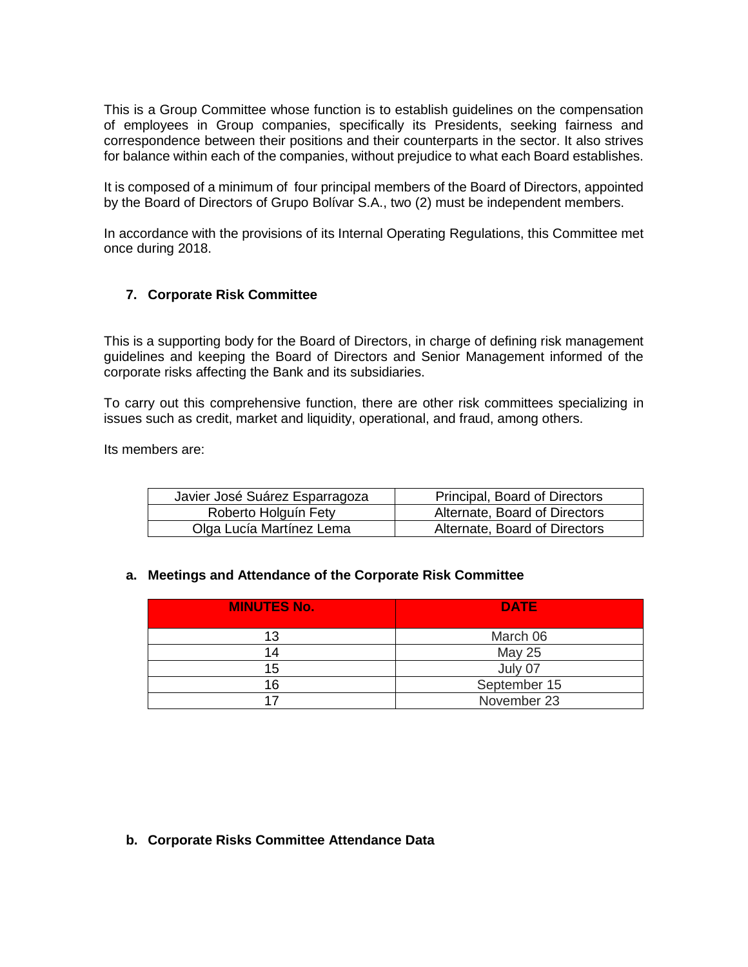This is a Group Committee whose function is to establish guidelines on the compensation of employees in Group companies, specifically its Presidents, seeking fairness and correspondence between their positions and their counterparts in the sector. It also strives for balance within each of the companies, without prejudice to what each Board establishes.

It is composed of a minimum of four principal members of the Board of Directors, appointed by the Board of Directors of Grupo Bolívar S.A., two (2) must be independent members.

In accordance with the provisions of its Internal Operating Regulations, this Committee met once during 2018.

# **7. Corporate Risk Committee**

This is a supporting body for the Board of Directors, in charge of defining risk management guidelines and keeping the Board of Directors and Senior Management informed of the corporate risks affecting the Bank and its subsidiaries.

To carry out this comprehensive function, there are other risk committees specializing in issues such as credit, market and liquidity, operational, and fraud, among others.

Its members are:

| Javier José Suárez Esparragoza | Principal, Board of Directors |
|--------------------------------|-------------------------------|
| Roberto Holguín Fety           | Alternate, Board of Directors |
| Olga Lucía Martínez Lema       | Alternate, Board of Directors |

#### **a. Meetings and Attendance of the Corporate Risk Committee**

| <b>MINUTES No.</b> | <b>DATE</b>   |
|--------------------|---------------|
| 13                 | March 06      |
| 14                 | <b>May 25</b> |
| 15                 | July 07       |
| 16                 | September 15  |
|                    | November 23   |

#### **b. Corporate Risks Committee Attendance Data**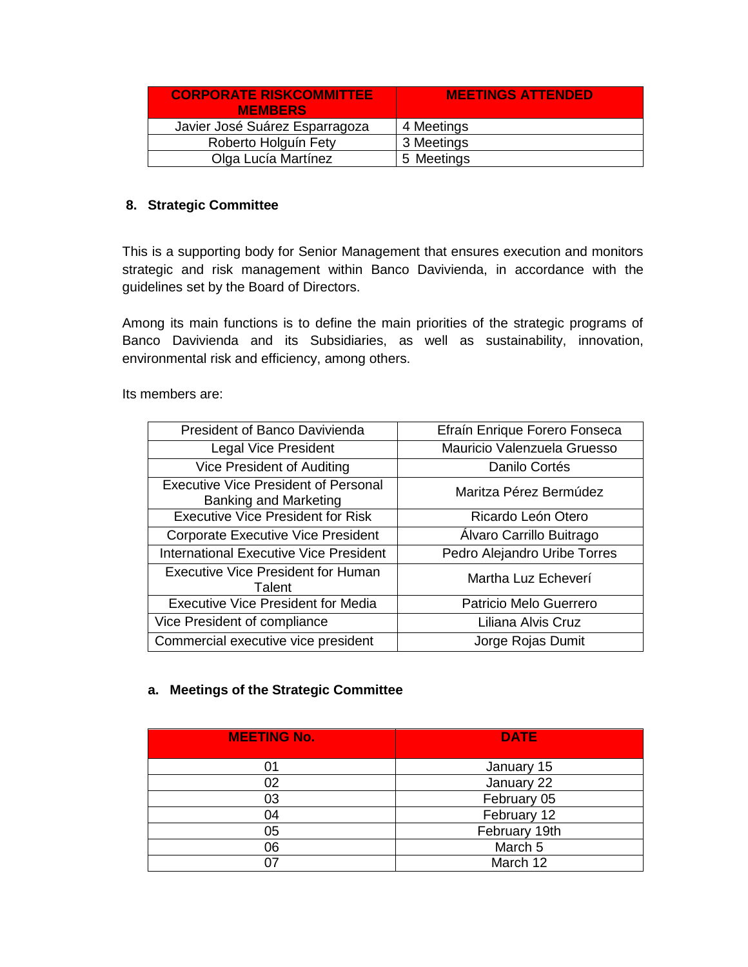| <b>CORPORATE RISKCOMMITTEE</b><br><b>MEMBERS</b> | <b>MEETINGS ATTENDED</b> |
|--------------------------------------------------|--------------------------|
| Javier José Suárez Esparragoza                   | 4 Meetings               |
| Roberto Holguín Fety                             | 3 Meetings               |
| Olga Lucía Martínez                              | 5 Meetings               |

# **8. Strategic Committee**

This is a supporting body for Senior Management that ensures execution and monitors strategic and risk management within Banco Davivienda, in accordance with the guidelines set by the Board of Directors.

Among its main functions is to define the main priorities of the strategic programs of Banco Davivienda and its Subsidiaries, as well as sustainability, innovation, environmental risk and efficiency, among others.

Its members are:

| President of Banco Davivienda                                               | Efraín Enrique Forero Fonseca |
|-----------------------------------------------------------------------------|-------------------------------|
| <b>Legal Vice President</b>                                                 | Mauricio Valenzuela Gruesso   |
| Vice President of Auditing                                                  | Danilo Cortés                 |
| <b>Executive Vice President of Personal</b><br><b>Banking and Marketing</b> | Maritza Pérez Bermúdez        |
| <b>Executive Vice President for Risk</b>                                    | Ricardo León Otero            |
| <b>Corporate Executive Vice President</b>                                   | Alvaro Carrillo Buitrago      |
| <b>International Executive Vice President</b>                               | Pedro Alejandro Uribe Torres  |
| <b>Executive Vice President for Human</b><br>Talent                         | Martha Luz Echeverí           |
| <b>Executive Vice President for Media</b>                                   | Patricio Melo Guerrero        |
| Vice President of compliance                                                | Liliana Alvis Cruz            |
| Commercial executive vice president                                         | Jorge Rojas Dumit             |

# **a. Meetings of the Strategic Committee**

| <b>MEETING No.</b> | <b>DATE</b>   |
|--------------------|---------------|
|                    | January 15    |
| 02                 | January 22    |
| 03                 | February 05   |
| 04                 | February 12   |
| 05                 | February 19th |
| 06                 | March 5       |
|                    | March 12      |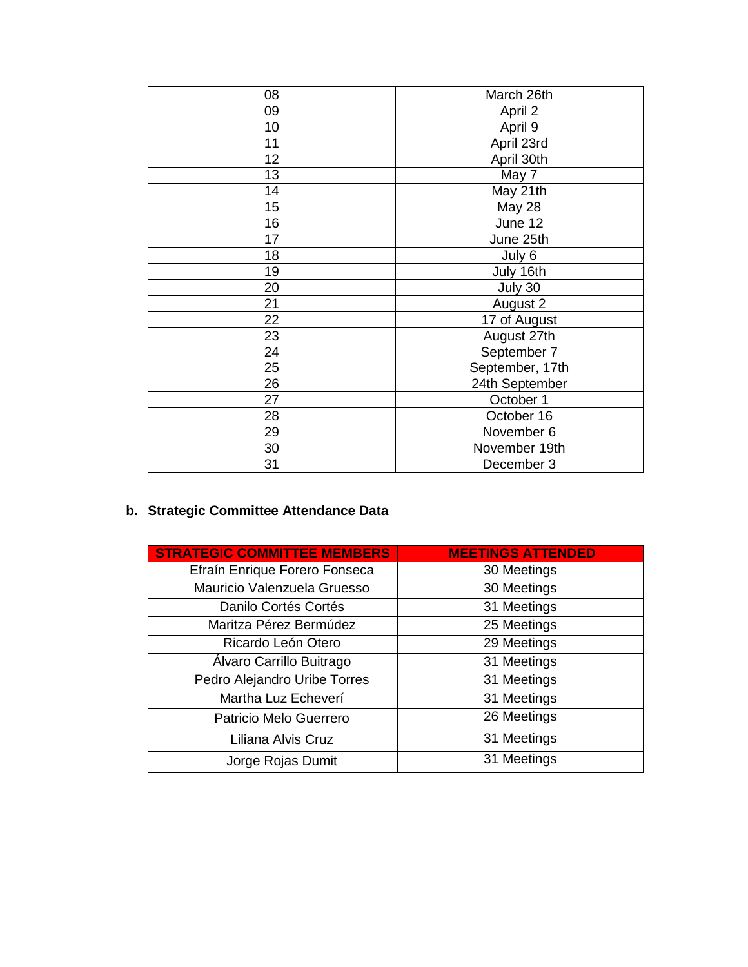| 08 | March 26th      |
|----|-----------------|
| 09 | April 2         |
| 10 | April 9         |
| 11 | April 23rd      |
| 12 | April 30th      |
| 13 | May 7           |
| 14 | May 21th        |
| 15 | May 28          |
| 16 | June 12         |
| 17 | June 25th       |
| 18 | July 6          |
| 19 | July 16th       |
| 20 | July 30         |
| 21 | August 2        |
| 22 | 17 of August    |
| 23 | August 27th     |
| 24 | September 7     |
| 25 | September, 17th |
| 26 | 24th September  |
| 27 | October 1       |
| 28 | October 16      |
| 29 | November 6      |
| 30 | November 19th   |
| 31 | December 3      |

# **b. Strategic Committee Attendance Data**

| <b>STRATEGIC COMMITTEE MEMBERS</b> | <b>MEETINGS ATTENDED</b> |
|------------------------------------|--------------------------|
| Efraín Enrique Forero Fonseca      | 30 Meetings              |
| Mauricio Valenzuela Gruesso        | 30 Meetings              |
| Danilo Cortés Cortés               | 31 Meetings              |
| Maritza Pérez Bermúdez             | 25 Meetings              |
| Ricardo León Otero                 | 29 Meetings              |
| Álvaro Carrillo Buitrago           | 31 Meetings              |
| Pedro Alejandro Uribe Torres       | 31 Meetings              |
| Martha Luz Echeverí                | 31 Meetings              |
| Patricio Melo Guerrero             | 26 Meetings              |
| Liliana Alvis Cruz                 | 31 Meetings              |
| Jorge Rojas Dumit                  | 31 Meetings              |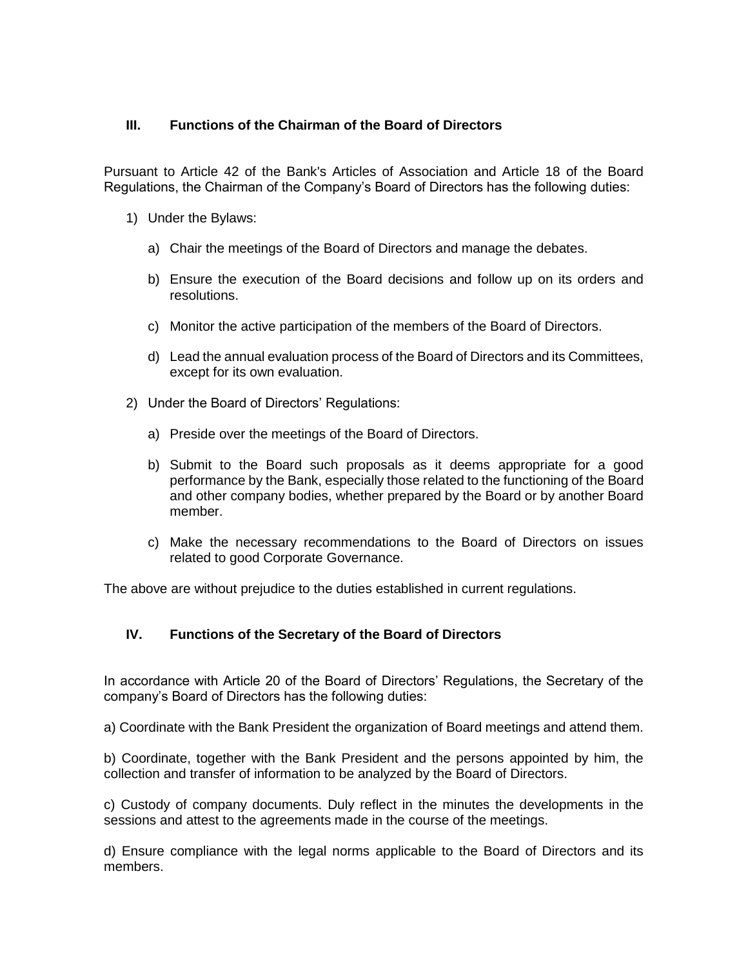# **III. Functions of the Chairman of the Board of Directors**

Pursuant to Article 42 of the Bank's Articles of Association and Article 18 of the Board Regulations, the Chairman of the Company's Board of Directors has the following duties:

- 1) Under the Bylaws:
	- a) Chair the meetings of the Board of Directors and manage the debates.
	- b) Ensure the execution of the Board decisions and follow up on its orders and resolutions.
	- c) Monitor the active participation of the members of the Board of Directors.
	- d) Lead the annual evaluation process of the Board of Directors and its Committees, except for its own evaluation.
- 2) Under the Board of Directors' Regulations:
	- a) Preside over the meetings of the Board of Directors.
	- b) Submit to the Board such proposals as it deems appropriate for a good performance by the Bank, especially those related to the functioning of the Board and other company bodies, whether prepared by the Board or by another Board member.
	- c) Make the necessary recommendations to the Board of Directors on issues related to good Corporate Governance.

The above are without prejudice to the duties established in current regulations.

# **IV. Functions of the Secretary of the Board of Directors**

In accordance with Article 20 of the Board of Directors' Regulations, the Secretary of the company's Board of Directors has the following duties:

a) Coordinate with the Bank President the organization of Board meetings and attend them.

b) Coordinate, together with the Bank President and the persons appointed by him, the collection and transfer of information to be analyzed by the Board of Directors.

c) Custody of company documents. Duly reflect in the minutes the developments in the sessions and attest to the agreements made in the course of the meetings.

d) Ensure compliance with the legal norms applicable to the Board of Directors and its members.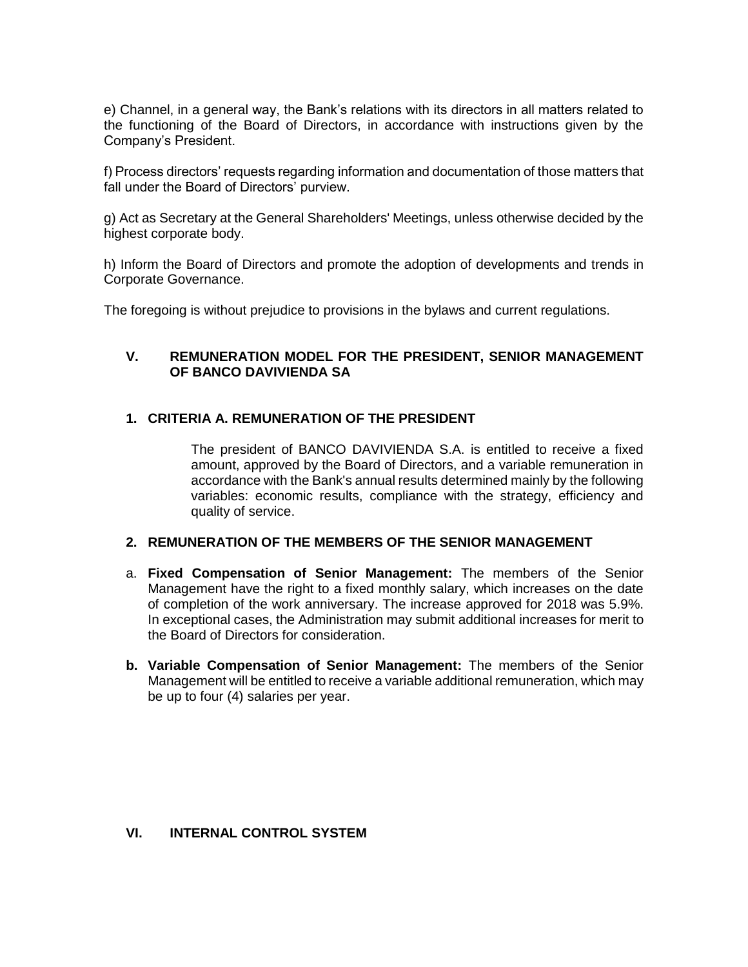e) Channel, in a general way, the Bank's relations with its directors in all matters related to the functioning of the Board of Directors, in accordance with instructions given by the Company's President.

f) Process directors' requests regarding information and documentation of those matters that fall under the Board of Directors' purview.

g) Act as Secretary at the General Shareholders' Meetings, unless otherwise decided by the highest corporate body.

h) Inform the Board of Directors and promote the adoption of developments and trends in Corporate Governance.

The foregoing is without prejudice to provisions in the bylaws and current regulations.

# **V. REMUNERATION MODEL FOR THE PRESIDENT, SENIOR MANAGEMENT OF BANCO DAVIVIENDA SA**

## **1. CRITERIA A. REMUNERATION OF THE PRESIDENT**

The president of BANCO DAVIVIENDA S.A. is entitled to receive a fixed amount, approved by the Board of Directors, and a variable remuneration in accordance with the Bank's annual results determined mainly by the following variables: economic results, compliance with the strategy, efficiency and quality of service.

#### **2. REMUNERATION OF THE MEMBERS OF THE SENIOR MANAGEMENT**

- a. **Fixed Compensation of Senior Management:** The members of the Senior Management have the right to a fixed monthly salary, which increases on the date of completion of the work anniversary. The increase approved for 2018 was 5.9%. In exceptional cases, the Administration may submit additional increases for merit to the Board of Directors for consideration.
- **b. Variable Compensation of Senior Management:** The members of the Senior Management will be entitled to receive a variable additional remuneration, which may be up to four (4) salaries per year.

## **VI. INTERNAL CONTROL SYSTEM**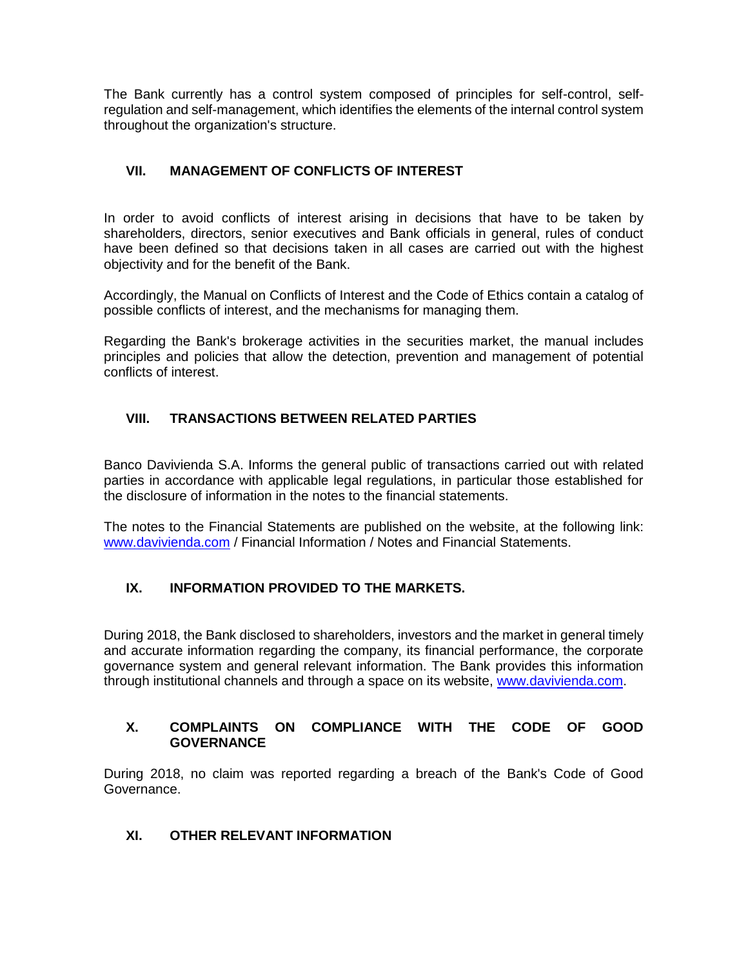The Bank currently has a control system composed of principles for self-control, selfregulation and self-management, which identifies the elements of the internal control system throughout the organization's structure.

# **VII. MANAGEMENT OF CONFLICTS OF INTEREST**

In order to avoid conflicts of interest arising in decisions that have to be taken by shareholders, directors, senior executives and Bank officials in general, rules of conduct have been defined so that decisions taken in all cases are carried out with the highest objectivity and for the benefit of the Bank.

Accordingly, the Manual on Conflicts of Interest and the Code of Ethics contain a catalog of possible conflicts of interest, and the mechanisms for managing them.

Regarding the Bank's brokerage activities in the securities market, the manual includes principles and policies that allow the detection, prevention and management of potential conflicts of interest.

# **VIII. TRANSACTIONS BETWEEN RELATED PARTIES**

Banco Davivienda S.A. Informs the general public of transactions carried out with related parties in accordance with applicable legal regulations, in particular those established for the disclosure of information in the notes to the financial statements.

The notes to the Financial Statements are published on the website, at the following link: [www.davivienda.com](http://www.davivienda.com/) / Financial Information / Notes and Financial Statements.

# **IX. INFORMATION PROVIDED TO THE MARKETS.**

During 2018, the Bank disclosed to shareholders, investors and the market in general timely and accurate information regarding the company, its financial performance, the corporate governance system and general relevant information. The Bank provides this information through institutional channels and through a space on its website, [www.davivienda.com.](http://www.davivienda.com/)

# **X. COMPLAINTS ON COMPLIANCE WITH THE CODE OF GOOD GOVERNANCE**

During 2018, no claim was reported regarding a breach of the Bank's Code of Good Governance.

# **XI. OTHER RELEVANT INFORMATION**